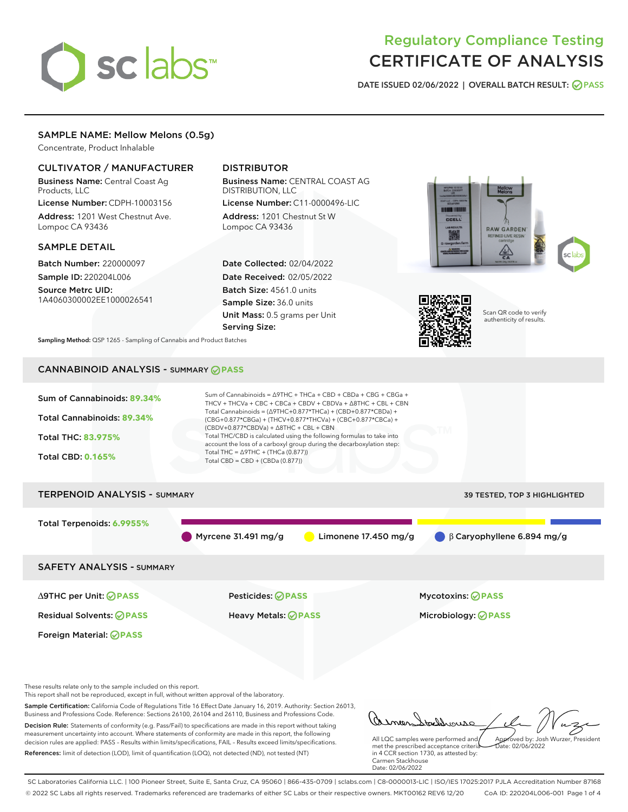# sclabs

# Regulatory Compliance Testing CERTIFICATE OF ANALYSIS

DATE ISSUED 02/06/2022 | OVERALL BATCH RESULT: @ PASS

# SAMPLE NAME: Mellow Melons (0.5g)

Concentrate, Product Inhalable

# CULTIVATOR / MANUFACTURER

Business Name: Central Coast Ag Products, LLC

License Number: CDPH-10003156 Address: 1201 West Chestnut Ave. Lompoc CA 93436

### SAMPLE DETAIL

Batch Number: 220000097 Sample ID: 220204L006

Source Metrc UID: 1A4060300002EE1000026541

# DISTRIBUTOR

Business Name: CENTRAL COAST AG DISTRIBUTION, LLC License Number: C11-0000496-LIC

Address: 1201 Chestnut St W Lompoc CA 93436

Date Collected: 02/04/2022 Date Received: 02/05/2022 Batch Size: 4561.0 units Sample Size: 36.0 units Unit Mass: 0.5 grams per Unit Serving Size:





Scan QR code to verify authenticity of results.

Sampling Method: QSP 1265 - Sampling of Cannabis and Product Batches

# CANNABINOID ANALYSIS - SUMMARY **PASS**



Decision Rule: Statements of conformity (e.g. Pass/Fail) to specifications are made in this report without taking measurement uncertainty into account. Where statements of conformity are made in this report, the following decision rules are applied: PASS – Results within limits/specifications, FAIL – Results exceed limits/specifications. References: limit of detection (LOD), limit of quantification (LOQ), not detected (ND), not tested (NT)

tachdrousc All LQC samples were performed and Approved by: Josh Wurzer, President  $ate: 02/06/2022$ 

met the prescribed acceptance criteria in 4 CCR section 1730, as attested by: Carmen Stackhouse Date: 02/06/2022

SC Laboratories California LLC. | 100 Pioneer Street, Suite E, Santa Cruz, CA 95060 | 866-435-0709 | sclabs.com | C8-0000013-LIC | ISO/IES 17025:2017 PJLA Accreditation Number 87168 © 2022 SC Labs all rights reserved. Trademarks referenced are trademarks of either SC Labs or their respective owners. MKT00162 REV6 12/20 CoA ID: 220204L006-001 Page 1 of 4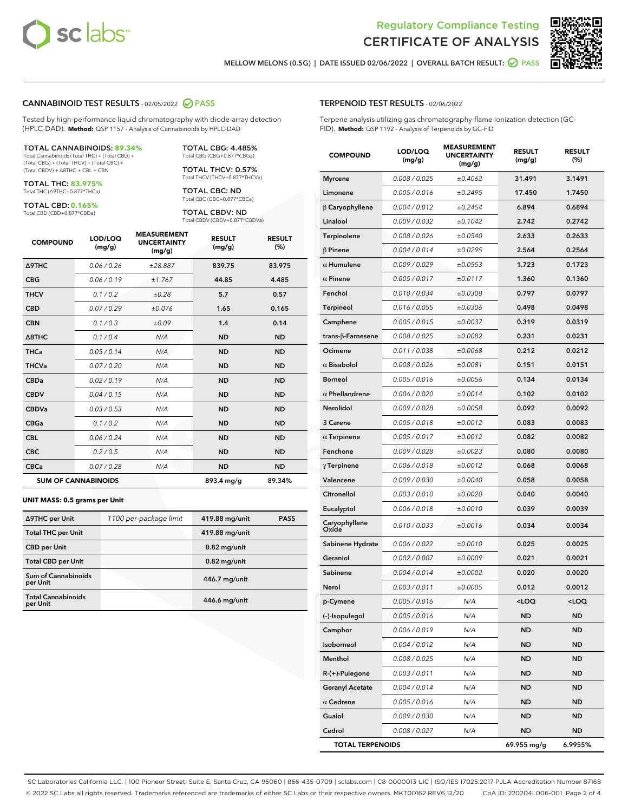



MELLOW MELONS (0.5G) | DATE ISSUED 02/06/2022 | OVERALL BATCH RESULT: **● PASS** 

#### CANNABINOID TEST RESULTS - 02/05/2022 2 PASS

Tested by high-performance liquid chromatography with diode-array detection (HPLC-DAD). **Method:** QSP 1157 - Analysis of Cannabinoids by HPLC-DAD

#### TOTAL CANNABINOIDS: **89.34%**

Total Cannabinoids (Total THC) + (Total CBD) + (Total CBG) + (Total THCV) + (Total CBC) + (Total CBDV) + ∆8THC + CBL + CBN

TOTAL THC: **83.975%** Total THC (∆9THC+0.877\*THCa)

TOTAL CBD: **0.165%**

Total CBD (CBD+0.877\*CBDa)

TOTAL CBG: 4.485% Total CBG (CBG+0.877\*CBGa)

TOTAL THCV: 0.57% Total THCV (THCV+0.877\*THCVa)

TOTAL CBC: ND Total CBC (CBC+0.877\*CBCa)

TOTAL CBDV: ND Total CBDV (CBDV+0.877\*CBDVa)

| <b>COMPOUND</b>            | LOD/LOQ<br>(mg/g) | <b>MEASUREMENT</b><br><b>UNCERTAINTY</b><br>(mg/g) | <b>RESULT</b><br>(mg/g) | <b>RESULT</b><br>(%) |
|----------------------------|-------------------|----------------------------------------------------|-------------------------|----------------------|
| <b>A9THC</b>               | 0.06/0.26         | ±28.887                                            | 839.75                  | 83.975               |
| <b>CBG</b>                 | 0.06/0.19         | ±1.767                                             | 44.85                   | 4.485                |
| <b>THCV</b>                | 0.1/0.2           | ±0.28                                              | 5.7                     | 0.57                 |
| <b>CBD</b>                 | 0.07/0.29         | ±0.076                                             | 1.65                    | 0.165                |
| <b>CBN</b>                 | 0.1/0.3           | ±0.09                                              | 1.4                     | 0.14                 |
| $\triangle$ 8THC           | 0.1 / 0.4         | N/A                                                | <b>ND</b>               | <b>ND</b>            |
| <b>THCa</b>                | 0.05/0.14         | N/A                                                | <b>ND</b>               | <b>ND</b>            |
| <b>THCVa</b>               | 0.07/0.20         | N/A                                                | <b>ND</b>               | <b>ND</b>            |
| <b>CBDa</b>                | 0.02/0.19         | N/A                                                | <b>ND</b>               | <b>ND</b>            |
| <b>CBDV</b>                | 0.04 / 0.15       | N/A                                                | <b>ND</b>               | <b>ND</b>            |
| <b>CBDVa</b>               | 0.03/0.53         | N/A                                                | <b>ND</b>               | <b>ND</b>            |
| <b>CBGa</b>                | 0.1/0.2           | N/A                                                | <b>ND</b>               | <b>ND</b>            |
| <b>CBL</b>                 | 0.06 / 0.24       | N/A                                                | <b>ND</b>               | <b>ND</b>            |
| <b>CBC</b>                 | 0.2 / 0.5         | N/A                                                | <b>ND</b>               | <b>ND</b>            |
| <b>CBCa</b>                | 0.07/0.28         | N/A                                                | <b>ND</b>               | <b>ND</b>            |
| <b>SUM OF CANNABINOIDS</b> |                   |                                                    | 893.4 mg/g              | 89.34%               |

#### **UNIT MASS: 0.5 grams per Unit**

| ∆9THC per Unit                         | 1100 per-package limit | 419.88 mg/unit | <b>PASS</b> |
|----------------------------------------|------------------------|----------------|-------------|
| <b>Total THC per Unit</b>              |                        | 419.88 mg/unit |             |
| <b>CBD</b> per Unit                    |                        | $0.82$ mg/unit |             |
| <b>Total CBD per Unit</b>              |                        | $0.82$ mg/unit |             |
| <b>Sum of Cannabinoids</b><br>per Unit |                        | 446.7 mg/unit  |             |
| <b>Total Cannabinoids</b><br>per Unit  |                        | 446.6 mg/unit  |             |

| <b>COMPOUND</b>         | LOD/LOQ<br>(mg/g) | <b>MEASUREMENT</b><br><b>UNCERTAINTY</b><br>(mg/g) | <b>RESULT</b><br>(mg/g)                         | <b>RESULT</b><br>(%) |
|-------------------------|-------------------|----------------------------------------------------|-------------------------------------------------|----------------------|
| <b>Myrcene</b>          | 0.008 / 0.025     | ±0.4062                                            | 31.491                                          | 3.1491               |
| Limonene                | 0.005 / 0.016     | ±0.2495                                            | 17.450                                          | 1.7450               |
| $\beta$ Caryophyllene   | 0.004 / 0.012     | ±0.2454                                            | 6.894                                           | 0.6894               |
| Linalool                | 0.009 / 0.032     | ±0.1042                                            | 2.742                                           | 0.2742               |
| Terpinolene             | 0.008 / 0.026     | ±0.0540                                            | 2.633                                           | 0.2633               |
| <b>β Pinene</b>         | 0.004 / 0.014     | ±0.0295                                            | 2.564                                           | 0.2564               |
| $\alpha$ Humulene       | 0.009/0.029       | ±0.0553                                            | 1.723                                           | 0.1723               |
| $\alpha$ Pinene         | 0.005 / 0.017     | ±0.0117                                            | 1.360                                           | 0.1360               |
| Fenchol                 | 0.010 / 0.034     | ±0.0308                                            | 0.797                                           | 0.0797               |
| Terpineol               | 0.016 / 0.055     | ±0.0306                                            | 0.498                                           | 0.0498               |
| Camphene                | 0.005 / 0.015     | ±0.0037                                            | 0.319                                           | 0.0319               |
| trans-β-Farnesene       | 0.008 / 0.025     | ±0.0082                                            | 0.231                                           | 0.0231               |
| Ocimene                 | 0.011 / 0.038     | ±0.0068                                            | 0.212                                           | 0.0212               |
| $\alpha$ Bisabolol      | 0.008 / 0.026     | ±0.0081                                            | 0.151                                           | 0.0151               |
| <b>Borneol</b>          | 0.005 / 0.016     | ±0.0056                                            | 0.134                                           | 0.0134               |
| $\alpha$ Phellandrene   | 0.006 / 0.020     | ±0.0014                                            | 0.102                                           | 0.0102               |
| <b>Nerolidol</b>        | 0.009 / 0.028     | ±0.0058                                            | 0.092                                           | 0.0092               |
| 3 Carene                | 0.005 / 0.018     | ±0.0012                                            | 0.083                                           | 0.0083               |
| $\alpha$ Terpinene      | 0.005 / 0.017     | ±0.0012                                            | 0.082                                           | 0.0082               |
| Fenchone                | 0.009 / 0.028     | ±0.0023                                            | 0.080                                           | 0.0080               |
| $\gamma$ Terpinene      | 0.006 / 0.018     | ±0.0012                                            | 0.068                                           | 0.0068               |
| Valencene               | 0.009 / 0.030     | ±0.0040                                            | 0.058                                           | 0.0058               |
| Citronellol             | 0.003 / 0.010     | ±0.0020                                            | 0.040                                           | 0.0040               |
| Eucalyptol              | 0.006 / 0.018     | ±0.0010                                            | 0.039                                           | 0.0039               |
| Caryophyllene<br>Oxide  | 0.010 / 0.033     | ±0.0016                                            | 0.034                                           | 0.0034               |
| Sabinene Hydrate        | 0.006 / 0.022     | ±0.0010                                            | 0.025                                           | 0.0025               |
| Geraniol                | 0.002 / 0.007     | ±0.0009                                            | 0.021                                           | 0.0021               |
| Sabinene                | 0.004 / 0.014     | ±0.0002                                            | 0.020                                           | 0.0020               |
| Nerol                   | 0.003 / 0.011     | ±0.0005                                            | 0.012                                           | 0.0012               |
| p-Cymene                | 0.005 / 0.016     | N/A                                                | <loq< th=""><th><loq< th=""></loq<></th></loq<> | <loq< th=""></loq<>  |
| (-)-Isopulegol          | 0.005 / 0.016     | N/A                                                | ND                                              | ND                   |
| Camphor                 | 0.006 / 0.019     | N/A                                                | ND                                              | ND                   |
| Isoborneol              | 0.004 / 0.012     | N/A                                                | ND                                              | ND                   |
| Menthol                 | 0.008 / 0.025     | N/A                                                | ND                                              | ND                   |
| R-(+)-Pulegone          | 0.003 / 0.011     | N/A                                                | ND                                              | ND                   |
| <b>Geranyl Acetate</b>  | 0.004 / 0.014     | N/A                                                | ND                                              | ND                   |
| $\alpha$ Cedrene        | 0.005 / 0.016     | N/A                                                | ND                                              | ND                   |
| Guaiol                  | 0.009 / 0.030     | N/A                                                | ND                                              | ND                   |
| Cedrol                  | 0.008 / 0.027     | N/A                                                | ND                                              | ND                   |
| <b>TOTAL TERPENOIDS</b> |                   |                                                    | 69.955 mg/g                                     | 6.9955%              |

SC Laboratories California LLC. | 100 Pioneer Street, Suite E, Santa Cruz, CA 95060 | 866-435-0709 | sclabs.com | C8-0000013-LIC | ISO/IES 17025:2017 PJLA Accreditation Number 87168 © 2022 SC Labs all rights reserved. Trademarks referenced are trademarks of either SC Labs or their respective owners. MKT00162 REV6 12/20 CoA ID: 220204L006-001 Page 2 of 4

# TERPENOID TEST RESULTS - 02/06/2022

Terpene analysis utilizing gas chromatography-flame ionization detection (GC-FID). **Method:** QSP 1192 - Analysis of Terpenoids by GC-FID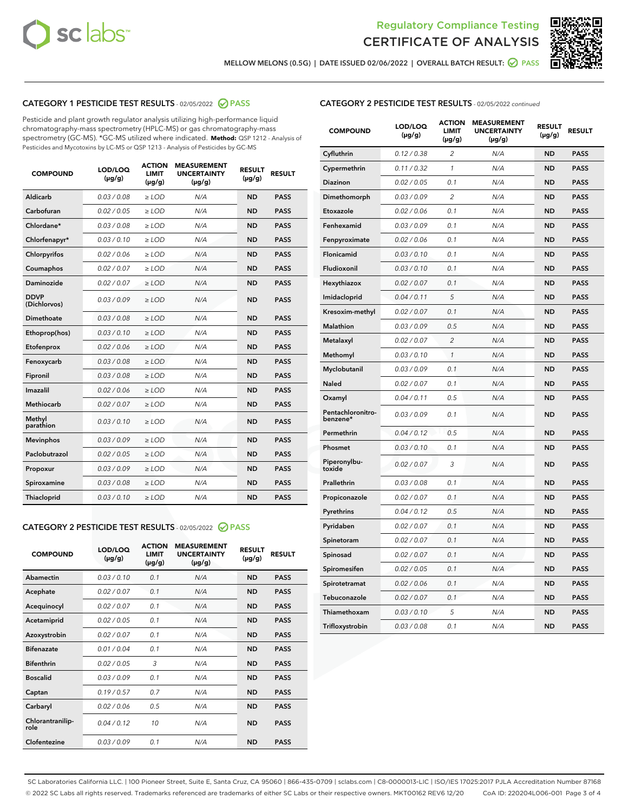



MELLOW MELONS (0.5G) | DATE ISSUED 02/06/2022 | OVERALL BATCH RESULT: Ø PASS

# CATEGORY 1 PESTICIDE TEST RESULTS - 02/05/2022 2 PASS

Pesticide and plant growth regulator analysis utilizing high-performance liquid chromatography-mass spectrometry (HPLC-MS) or gas chromatography-mass spectrometry (GC-MS). \*GC-MS utilized where indicated. **Method:** QSP 1212 - Analysis of Pesticides and Mycotoxins by LC-MS or QSP 1213 - Analysis of Pesticides by GC-MS

| <b>COMPOUND</b>             | LOD/LOQ<br>$(\mu g/g)$ | <b>ACTION</b><br><b>LIMIT</b><br>$(\mu g/g)$ | <b>MEASUREMENT</b><br><b>UNCERTAINTY</b><br>$(\mu g/g)$ | <b>RESULT</b><br>$(\mu g/g)$ | <b>RESULT</b> |
|-----------------------------|------------------------|----------------------------------------------|---------------------------------------------------------|------------------------------|---------------|
| Aldicarb                    | 0.03 / 0.08            | $\ge$ LOD                                    | N/A                                                     | <b>ND</b>                    | <b>PASS</b>   |
| Carbofuran                  | 0.02/0.05              | $>$ LOD                                      | N/A                                                     | <b>ND</b>                    | <b>PASS</b>   |
| Chlordane*                  | 0.03 / 0.08            | $\ge$ LOD                                    | N/A                                                     | <b>ND</b>                    | <b>PASS</b>   |
| Chlorfenapyr*               | 0.03/0.10              | $\geq$ LOD                                   | N/A                                                     | <b>ND</b>                    | <b>PASS</b>   |
| Chlorpyrifos                | 0.02 / 0.06            | $\ge$ LOD                                    | N/A                                                     | <b>ND</b>                    | <b>PASS</b>   |
| Coumaphos                   | 0.02/0.07              | $>$ LOD                                      | N/A                                                     | <b>ND</b>                    | <b>PASS</b>   |
| <b>Daminozide</b>           | 0.02 / 0.07            | $\ge$ LOD                                    | N/A                                                     | <b>ND</b>                    | <b>PASS</b>   |
| <b>DDVP</b><br>(Dichlorvos) | 0.03/0.09              | $\ge$ LOD                                    | N/A                                                     | <b>ND</b>                    | <b>PASS</b>   |
| <b>Dimethoate</b>           | 0.03 / 0.08            | $\ge$ LOD                                    | N/A                                                     | <b>ND</b>                    | <b>PASS</b>   |
| Ethoprop(hos)               | 0.03/0.10              | $\ge$ LOD                                    | N/A                                                     | <b>ND</b>                    | <b>PASS</b>   |
| Etofenprox                  | 0.02 / 0.06            | $\ge$ LOD                                    | N/A                                                     | <b>ND</b>                    | <b>PASS</b>   |
| Fenoxycarb                  | 0.03/0.08              | $\ge$ LOD                                    | N/A                                                     | <b>ND</b>                    | <b>PASS</b>   |
| Fipronil                    | 0.03/0.08              | $>$ LOD                                      | N/A                                                     | <b>ND</b>                    | <b>PASS</b>   |
| Imazalil                    | 0.02 / 0.06            | $\ge$ LOD                                    | N/A                                                     | <b>ND</b>                    | <b>PASS</b>   |
| Methiocarb                  | 0.02 / 0.07            | $\ge$ LOD                                    | N/A                                                     | <b>ND</b>                    | <b>PASS</b>   |
| Methyl<br>parathion         | 0.03/0.10              | $>$ LOD                                      | N/A                                                     | <b>ND</b>                    | <b>PASS</b>   |
| <b>Mevinphos</b>            | 0.03/0.09              | $>$ LOD                                      | N/A                                                     | <b>ND</b>                    | <b>PASS</b>   |
| Paclobutrazol               | 0.02 / 0.05            | $\ge$ LOD                                    | N/A                                                     | <b>ND</b>                    | <b>PASS</b>   |
| Propoxur                    | 0.03/0.09              | $>$ LOD                                      | N/A                                                     | <b>ND</b>                    | <b>PASS</b>   |
| Spiroxamine                 | 0.03 / 0.08            | $\ge$ LOD                                    | N/A                                                     | <b>ND</b>                    | <b>PASS</b>   |
| Thiacloprid                 | 0.03/0.10              | $\ge$ LOD                                    | N/A                                                     | <b>ND</b>                    | <b>PASS</b>   |

#### CATEGORY 2 PESTICIDE TEST RESULTS - 02/05/2022 2 PASS

| <b>COMPOUND</b>          | LOD/LOO<br>$(\mu g/g)$ | <b>ACTION</b><br>LIMIT<br>$(\mu g/g)$ | <b>MEASUREMENT</b><br><b>UNCERTAINTY</b><br>$(\mu g/g)$ | <b>RESULT</b><br>$(\mu g/g)$ | <b>RESULT</b> |
|--------------------------|------------------------|---------------------------------------|---------------------------------------------------------|------------------------------|---------------|
| Abamectin                | 0.03/0.10              | 0.1                                   | N/A                                                     | <b>ND</b>                    | <b>PASS</b>   |
| Acephate                 | 0.02/0.07              | 0.1                                   | N/A                                                     | <b>ND</b>                    | <b>PASS</b>   |
| Acequinocyl              | 0.02/0.07              | 0.1                                   | N/A                                                     | <b>ND</b>                    | <b>PASS</b>   |
| Acetamiprid              | 0.02/0.05              | 0.1                                   | N/A                                                     | <b>ND</b>                    | <b>PASS</b>   |
| Azoxystrobin             | 0.02/0.07              | 0.1                                   | N/A                                                     | <b>ND</b>                    | <b>PASS</b>   |
| <b>Bifenazate</b>        | 0.01/0.04              | 0.1                                   | N/A                                                     | <b>ND</b>                    | <b>PASS</b>   |
| <b>Bifenthrin</b>        | 0.02/0.05              | 3                                     | N/A                                                     | <b>ND</b>                    | <b>PASS</b>   |
| <b>Boscalid</b>          | 0.03/0.09              | 0.1                                   | N/A                                                     | <b>ND</b>                    | <b>PASS</b>   |
| Captan                   | 0.19/0.57              | 0.7                                   | N/A                                                     | <b>ND</b>                    | <b>PASS</b>   |
| Carbaryl                 | 0.02/0.06              | 0.5                                   | N/A                                                     | <b>ND</b>                    | <b>PASS</b>   |
| Chlorantranilip-<br>role | 0.04/0.12              | 10                                    | N/A                                                     | <b>ND</b>                    | <b>PASS</b>   |
| Clofentezine             | 0.03/0.09              | 0.1                                   | N/A                                                     | <b>ND</b>                    | <b>PASS</b>   |

| <b>COMPOUND</b>               | LOD/LOQ<br>(µg/g) | <b>ACTION</b><br>LIMIT<br>(µg/g) | <b>MEASUREMENT</b><br><b>UNCERTAINTY</b><br>$(\mu g/g)$ | <b>RESULT</b><br>(µg/g) | <b>RESULT</b> |
|-------------------------------|-------------------|----------------------------------|---------------------------------------------------------|-------------------------|---------------|
| Cyfluthrin                    | 0.12 / 0.38       | $\overline{c}$                   | N/A                                                     | ND                      | <b>PASS</b>   |
| Cypermethrin                  | 0.11 / 0.32       | 1                                | N/A                                                     | <b>ND</b>               | <b>PASS</b>   |
| Diazinon                      | 0.02 / 0.05       | 0.1                              | N/A                                                     | ND                      | <b>PASS</b>   |
| Dimethomorph                  | 0.03 / 0.09       | $\overline{2}$                   | N/A                                                     | ND                      | <b>PASS</b>   |
| Etoxazole                     | 0.02 / 0.06       | 0.1                              | N/A                                                     | <b>ND</b>               | <b>PASS</b>   |
| Fenhexamid                    | 0.03 / 0.09       | 0.1                              | N/A                                                     | ND                      | <b>PASS</b>   |
| Fenpyroximate                 | 0.02 / 0.06       | 0.1                              | N/A                                                     | <b>ND</b>               | <b>PASS</b>   |
| Flonicamid                    | 0.03 / 0.10       | 0.1                              | N/A                                                     | <b>ND</b>               | <b>PASS</b>   |
| Fludioxonil                   | 0.03 / 0.10       | 0.1                              | N/A                                                     | ND                      | <b>PASS</b>   |
| Hexythiazox                   | 0.02 / 0.07       | 0.1                              | N/A                                                     | ND                      | <b>PASS</b>   |
| Imidacloprid                  | 0.04 / 0.11       | 5                                | N/A                                                     | <b>ND</b>               | <b>PASS</b>   |
| Kresoxim-methyl               | 0.02 / 0.07       | 0.1                              | N/A                                                     | ND                      | <b>PASS</b>   |
| Malathion                     | 0.03 / 0.09       | 0.5                              | N/A                                                     | ND                      | <b>PASS</b>   |
| Metalaxyl                     | 0.02 / 0.07       | $\overline{2}$                   | N/A                                                     | <b>ND</b>               | <b>PASS</b>   |
| Methomyl                      | 0.03 / 0.10       | 1                                | N/A                                                     | <b>ND</b>               | <b>PASS</b>   |
| Myclobutanil                  | 0.03 / 0.09       | 0.1                              | N/A                                                     | ND                      | <b>PASS</b>   |
| <b>Naled</b>                  | 0.02 / 0.07       | 0.1                              | N/A                                                     | <b>ND</b>               | <b>PASS</b>   |
| Oxamyl                        | 0.04 / 0.11       | 0.5                              | N/A                                                     | ND                      | <b>PASS</b>   |
| Pentachloronitro-<br>benzene* | 0.03/0.09         | 0.1                              | N/A                                                     | ND                      | <b>PASS</b>   |
| Permethrin                    | 0.04 / 0.12       | 0.5                              | N/A                                                     | ND                      | <b>PASS</b>   |
| Phosmet                       | 0.03 / 0.10       | 0.1                              | N/A                                                     | <b>ND</b>               | <b>PASS</b>   |
| Piperonylbu-<br>toxide        | 0.02 / 0.07       | 3                                | N/A                                                     | ND                      | <b>PASS</b>   |
| Prallethrin                   | 0.03 / 0.08       | 0.1                              | N/A                                                     | <b>ND</b>               | <b>PASS</b>   |
| Propiconazole                 | 0.02 / 0.07       | 0.1                              | N/A                                                     | ND                      | <b>PASS</b>   |
| Pyrethrins                    | 0.04 / 0.12       | 0.5                              | N/A                                                     | ND                      | <b>PASS</b>   |
| Pyridaben                     | 0.02 / 0.07       | 0.1                              | N/A                                                     | <b>ND</b>               | <b>PASS</b>   |
| Spinetoram                    | 0.02 / 0.07       | 0.1                              | N/A                                                     | ND                      | <b>PASS</b>   |
| Spinosad                      | 0.02 / 0.07       | 0.1                              | N/A                                                     | ND                      | <b>PASS</b>   |
| Spiromesifen                  | 0.02 / 0.05       | 0.1                              | N/A                                                     | <b>ND</b>               | <b>PASS</b>   |
| Spirotetramat                 | 0.02 / 0.06       | 0.1                              | N/A                                                     | <b>ND</b>               | <b>PASS</b>   |
| Tebuconazole                  | 0.02 / 0.07       | 0.1                              | N/A                                                     | <b>ND</b>               | <b>PASS</b>   |
| Thiamethoxam                  | 0.03 / 0.10       | 5                                | N/A                                                     | ND                      | <b>PASS</b>   |
| Trifloxystrobin               | 0.03 / 0.08       | 0.1                              | N/A                                                     | ND                      | <b>PASS</b>   |

SC Laboratories California LLC. | 100 Pioneer Street, Suite E, Santa Cruz, CA 95060 | 866-435-0709 | sclabs.com | C8-0000013-LIC | ISO/IES 17025:2017 PJLA Accreditation Number 87168 © 2022 SC Labs all rights reserved. Trademarks referenced are trademarks of either SC Labs or their respective owners. MKT00162 REV6 12/20 CoA ID: 220204L006-001 Page 3 of 4